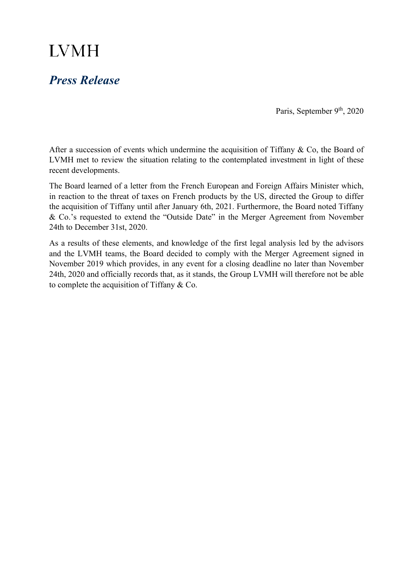## **LVMH**

## *Press Release*

Paris, September 9<sup>th</sup>, 2020

After a succession of events which undermine the acquisition of Tiffany & Co, the Board of LVMH met to review the situation relating to the contemplated investment in light of these recent developments.

The Board learned of a letter from the French European and Foreign Affairs Minister which, in reaction to the threat of taxes on French products by the US, directed the Group to differ the acquisition of Tiffany until after January 6th, 2021. Furthermore, the Board noted Tiffany & Co.'s requested to extend the "Outside Date" in the Merger Agreement from November 24th to December 31st, 2020.

As a results of these elements, and knowledge of the first legal analysis led by the advisors and the LVMH teams, the Board decided to comply with the Merger Agreement signed in November 2019 which provides, in any event for a closing deadline no later than November 24th, 2020 and officially records that, as it stands, the Group LVMH will therefore not be able to complete the acquisition of Tiffany & Co.